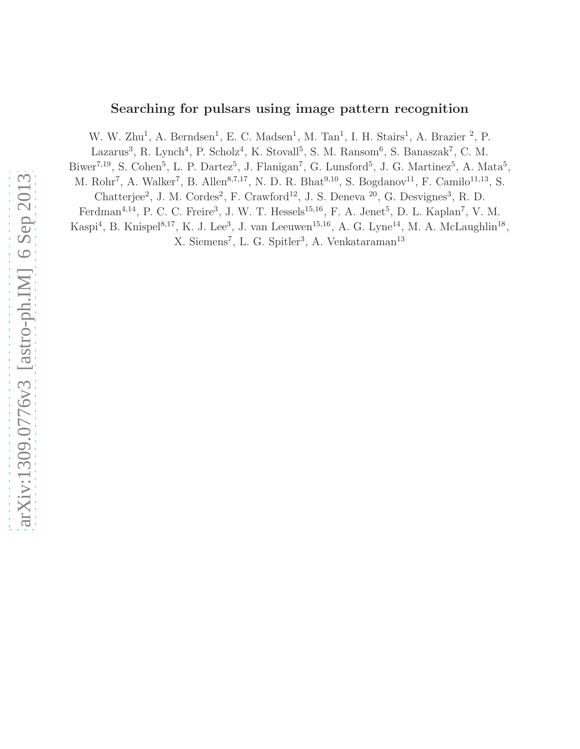# Searching for pulsars using image pattern recognition

W. W. Zhu<sup>1</sup>, A. Berndsen<sup>1</sup>, E. C. Madsen<sup>1</sup>, M. Tan<sup>1</sup>, I. H. Stairs<sup>1</sup>, A. Brazier<sup>2</sup>, P.

Lazarus<sup>3</sup>, R. Lynch<sup>4</sup>, P. Scholz<sup>4</sup>, K. Stovall<sup>5</sup>, S. M. Ransom<sup>6</sup>, S. Banaszak<sup>7</sup>, C. M.

Biwer<sup>7,19</sup>, S. Cohen<sup>5</sup>, L. P. Dartez<sup>5</sup>, J. Flanigan<sup>7</sup>, G. Lunsford<sup>5</sup>, J. G. Martinez<sup>5</sup>, A. Mata<sup>5</sup>,

M. Rohr<sup>7</sup>, A. Walker<sup>7</sup>, B. Allen<sup>8,7,17</sup>, N. D. R. Bhat<sup>9,10</sup>, S. Bogdanov<sup>11</sup>, F. Camilo<sup>11,13</sup>, S.

Chatterjee<sup>2</sup>, J. M. Cordes<sup>2</sup>, F. Crawford<sup>12</sup>, J. S. Deneva<sup>20</sup>, G. Desvignes<sup>3</sup>, R. D.

Ferdman<sup>4,14</sup>, P. C. C. Freire<sup>3</sup>, J. W. T. Hessels<sup>15,16</sup>, F. A. Jenet<sup>5</sup>, D. L. Kaplan<sup>7</sup>, V. M.

Kaspi<sup>4</sup>, B. Knispel<sup>8,17</sup>, K. J. Lee<sup>3</sup>, J. van Leeuwen<sup>15,16</sup>, A. G. Lyne<sup>14</sup>, M. A. McLaughlin<sup>18</sup>,

X. Siemens<sup>7</sup>, L. G. Spitler<sup>3</sup>, A. Venkataraman<sup>13</sup>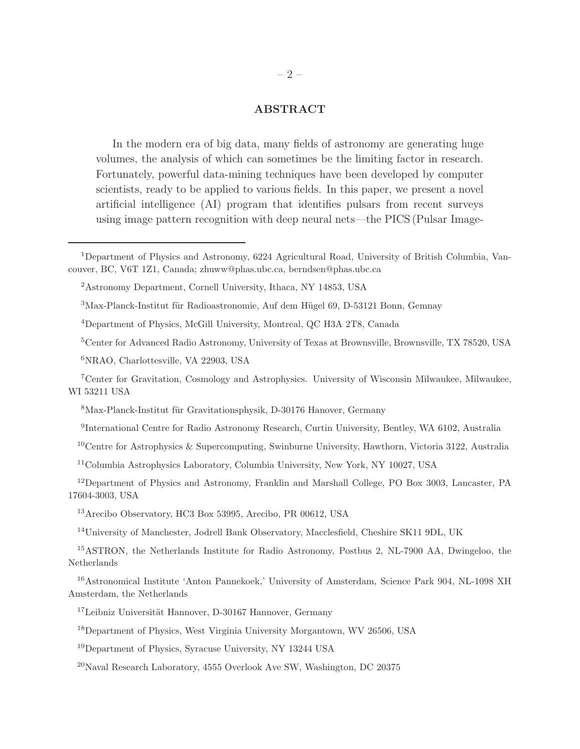# ABSTRACT

In the modern era of big data, many fields of astronomy are generating huge volumes, the analysis of which can sometimes be the limiting factor in research. Fortunately, powerful data-mining techniques have been developed by computer scientists, ready to be applied to various fields. In this paper, we present a novel artificial intelligence (AI) program that identifies pulsars from recent surveys using image pattern recognition with deep neural nets—the PICS (Pulsar Image-

Max-Planck-Institut für Radioastronomie, Auf dem Hügel 69, D-53121 Bonn, Gemnay

Center for Advanced Radio Astronomy, University of Texas at Brownsville, Brownsville, TX 78520, USA

NRAO, Charlottesville, VA 22903, USA

Center for Gravitation, Cosmology and Astrophysics. University of Wisconsin Milwaukee, Milwaukee, WI 53211 USA

Max-Planck-Institut für Gravitationsphysik, D-30176 Hanover, Germany

International Centre for Radio Astronomy Research, Curtin University, Bentley, WA 6102, Australia

Centre for Astrophysics & Supercomputing, Swinburne University, Hawthorn, Victoria 3122, Australia

Columbia Astrophysics Laboratory, Columbia University, New York, NY 10027, USA

Department of Physics and Astronomy, Franklin and Marshall College, PO Box 3003, Lancaster, PA 17604-3003, USA

Arecibo Observatory, HC3 Box 53995, Arecibo, PR 00612, USA

University of Manchester, Jodrell Bank Observatory, Macclesfield, Cheshire SK11 9DL, UK

ASTRON, the Netherlands Institute for Radio Astronomy, Postbus 2, NL-7900 AA, Dwingeloo, the Netherlands

Astronomical Institute 'Anton Pannekoek,' University of Amsterdam, Science Park 904, NL-1098 XH Amsterdam, the Netherlands

Leibniz Universität Hannover, D-30167 Hannover, Germany

Department of Physics, West Virginia University Morgantown, WV 26506, USA

Department of Physics, Syracuse University, NY 13244 USA

Naval Research Laboratory, 4555 Overlook Ave SW, Washington, DC 20375

Department of Physics and Astronomy, 6224 Agricultural Road, University of British Columbia, Vancouver, BC, V6T 1Z1, Canada; zhuww@phas.ubc.ca, berndsen@phas.ubc.ca

Astronomy Department, Cornell University, Ithaca, NY 14853, USA

Department of Physics, McGill University, Montreal, QC H3A 2T8, Canada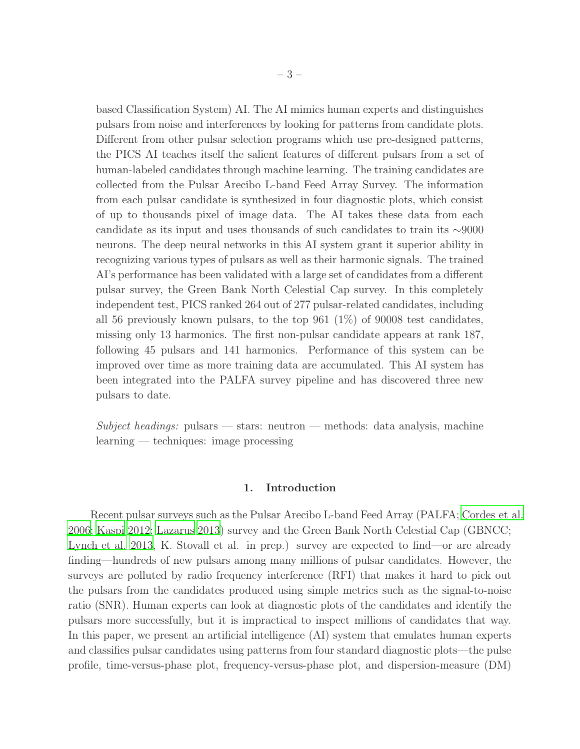based Classification System) AI. The AI mimics human experts and distinguishes pulsars from noise and interferences by looking for patterns from candidate plots. Different from other pulsar selection programs which use pre-designed patterns, the PICS AI teaches itself the salient features of different pulsars from a set of human-labeled candidates through machine learning. The training candidates are collected from the Pulsar Arecibo L-band Feed Array Survey. The information from each pulsar candidate is synthesized in four diagnostic plots, which consist of up to thousands pixel of image data. The AI takes these data from each candidate as its input and uses thousands of such candidates to train its ∼9000 neurons. The deep neural networks in this AI system grant it superior ability in recognizing various types of pulsars as well as their harmonic signals. The trained AI's performance has been validated with a large set of candidates from a different pulsar survey, the Green Bank North Celestial Cap survey. In this completely independent test, PICS ranked 264 out of 277 pulsar-related candidates, including all 56 previously known pulsars, to the top 961 (1%) of 90008 test candidates, missing only 13 harmonics. The first non-pulsar candidate appears at rank 187, following 45 pulsars and 141 harmonics. Performance of this system can be improved over time as more training data are accumulated. This AI system has been integrated into the PALFA survey pipeline and has discovered three new pulsars to date.

*Subject headings:* pulsars — stars: neutron — methods: data analysis, machine learning — techniques: image processing

# 1. Introduction

Recent pulsar surveys such as the Pulsar Arecibo L-band Feed Array (PALFA; [Cordes et al.](#page-17-0) [2006;](#page-17-0) [Kaspi 2012;](#page-17-1) [Lazarus 2013](#page-18-0)) survey and the Green Bank North Celestial Cap (GBNCC; [Lynch et al. 2013,](#page-18-1) K. Stovall et al. in prep.) survey are expected to find—or are already finding—hundreds of new pulsars among many millions of pulsar candidates. However, the surveys are polluted by radio frequency interference (RFI) that makes it hard to pick out the pulsars from the candidates produced using simple metrics such as the signal-to-noise ratio (SNR). Human experts can look at diagnostic plots of the candidates and identify the pulsars more successfully, but it is impractical to inspect millions of candidates that way. In this paper, we present an artificial intelligence (AI) system that emulates human experts and classifies pulsar candidates using patterns from four standard diagnostic plots—the pulse profile, time-versus-phase plot, frequency-versus-phase plot, and dispersion-measure (DM)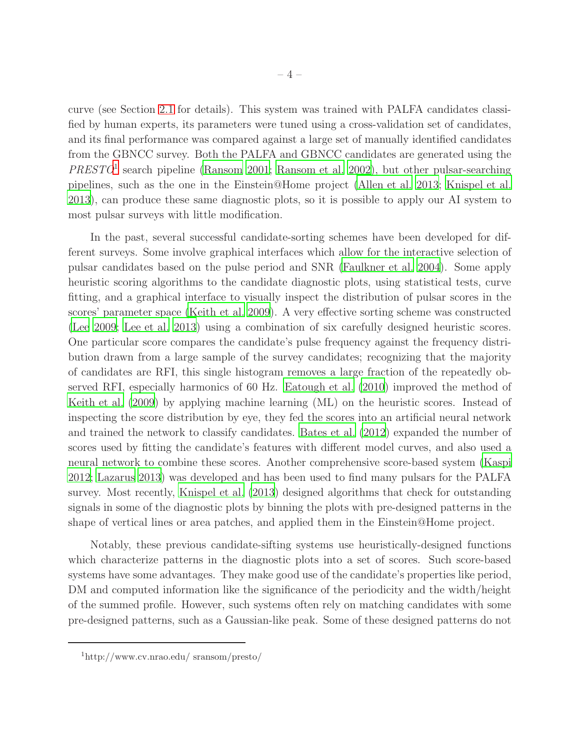curve (see Section [2.1](#page-5-0) for details). This system was trained with PALFA candidates classified by human experts, its parameters were tuned using a cross-validation set of candidates, and its final performance was compared against a large set of manually identified candidates from the GBNCC survey. Both the PALFA and GBNCC candidates are generated using the *PRESTO*[1](#page-3-0) search pipeline [\(Ransom 2001;](#page-18-2) [Ransom et al. 2002\)](#page-18-3), but other pulsar-searching pipelines, such as the one in the Einstein@Home project [\(Allen et al. 2013](#page-17-2); [Knispel et al.](#page-18-4) [2013\)](#page-18-4), can produce these same diagnostic plots, so it is possible to apply our AI system to most pulsar surveys with little modification.

In the past, several successful candidate-sorting schemes have been developed for different surveys. Some involve graphical interfaces which allow for the interactive selection of pulsar candidates based on the pulse period and SNR [\(Faulkner et al.](#page-17-3) [2004\)](#page-17-3). Some apply heuristic scoring algorithms to the candidate diagnostic plots, using statistical tests, curve fitting, and a graphical interface to visually inspect the distribution of pulsar scores in the scores' parameter space [\(Keith et al. 2009](#page-18-5)). A very effective sorting scheme was constructed [\(Lee 2009;](#page-18-6) [Lee et al. 2013](#page-18-7)) using a combination of six carefully designed heuristic scores. One particular score compares the candidate's pulse frequency against the frequency distribution drawn from a large sample of the survey candidates; recognizing that the majority of candidates are RFI, this single histogram removes a large fraction of the repeatedly observed RFI, especially harmonics of 60 Hz. [Eatough et al. \(2010](#page-17-4)) improved the method of [Keith et al. \(2009](#page-18-5)) by applying machine learning (ML) on the heuristic scores. Instead of inspecting the score distribution by eye, they fed the scores into an artificial neural network and trained the network to classify candidates. [Bates et al. \(2012](#page-17-5)) expanded the number of scores used by fitting the candidate's features with different model curves, and also used a neural network to combine these scores. Another comprehensive score-based system [\(Kaspi](#page-17-1) [2012;](#page-17-1) [Lazarus 2013\)](#page-18-0) was developed and has been used to find many pulsars for the PALFA survey. Most recently, [Knispel et al. \(2013\)](#page-18-4) designed algorithms that check for outstanding signals in some of the diagnostic plots by binning the plots with pre-designed patterns in the shape of vertical lines or area patches, and applied them in the Einstein@Home project.

Notably, these previous candidate-sifting systems use heuristically-designed functions which characterize patterns in the diagnostic plots into a set of scores. Such score-based systems have some advantages. They make good use of the candidate's properties like period, DM and computed information like the significance of the periodicity and the width/height of the summed profile. However, such systems often rely on matching candidates with some pre-designed patterns, such as a Gaussian-like peak. Some of these designed patterns do not

<span id="page-3-0"></span><sup>1</sup>http://www.cv.nrao.edu/ sransom/presto/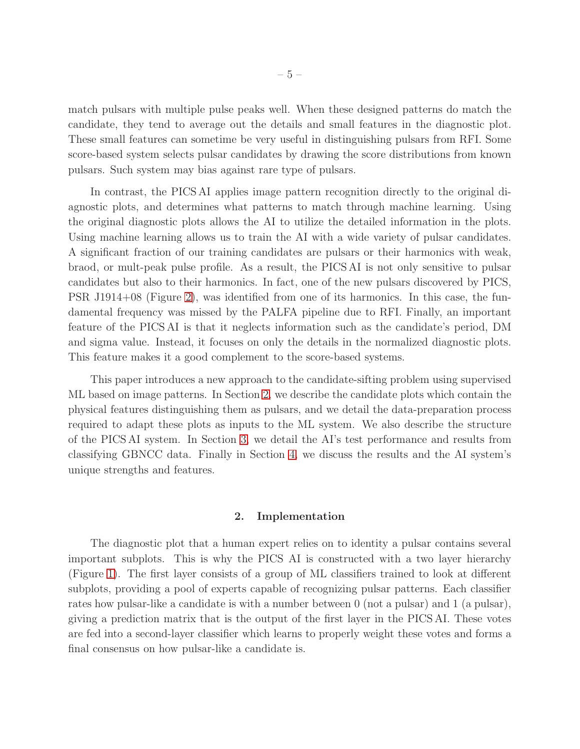match pulsars with multiple pulse peaks well. When these designed patterns do match the candidate, they tend to average out the details and small features in the diagnostic plot. These small features can sometime be very useful in distinguishing pulsars from RFI. Some score-based system selects pulsar candidates by drawing the score distributions from known pulsars. Such system may bias against rare type of pulsars.

In contrast, the PICS AI applies image pattern recognition directly to the original diagnostic plots, and determines what patterns to match through machine learning. Using the original diagnostic plots allows the AI to utilize the detailed information in the plots. Using machine learning allows us to train the AI with a wide variety of pulsar candidates. A significant fraction of our training candidates are pulsars or their harmonics with weak, braod, or mult-peak pulse profile. As a result, the PICS AI is not only sensitive to pulsar candidates but also to their harmonics. In fact, one of the new pulsars discovered by PICS, PSR J1914+08 (Figure [2\)](#page-20-0), was identified from one of its harmonics. In this case, the fundamental frequency was missed by the PALFA pipeline due to RFI. Finally, an important feature of the PICS AI is that it neglects information such as the candidate's period, DM and sigma value. Instead, it focuses on only the details in the normalized diagnostic plots. This feature makes it a good complement to the score-based systems.

This paper introduces a new approach to the candidate-sifting problem using supervised ML based on image patterns. In Section [2,](#page-4-0) we describe the candidate plots which contain the physical features distinguishing them as pulsars, and we detail the data-preparation process required to adapt these plots as inputs to the ML system. We also describe the structure of the PICS AI system. In Section [3,](#page-12-0) we detail the AI's test performance and results from classifying GBNCC data. Finally in Section [4,](#page-15-0) we discuss the results and the AI system's unique strengths and features.

## 2. Implementation

<span id="page-4-0"></span>The diagnostic plot that a human expert relies on to identity a pulsar contains several important subplots. This is why the PICS AI is constructed with a two layer hierarchy (Figure [1\)](#page-19-0). The first layer consists of a group of ML classifiers trained to look at different subplots, providing a pool of experts capable of recognizing pulsar patterns. Each classifier rates how pulsar-like a candidate is with a number between 0 (not a pulsar) and 1 (a pulsar), giving a prediction matrix that is the output of the first layer in the PICS AI. These votes are fed into a second-layer classifier which learns to properly weight these votes and forms a final consensus on how pulsar-like a candidate is.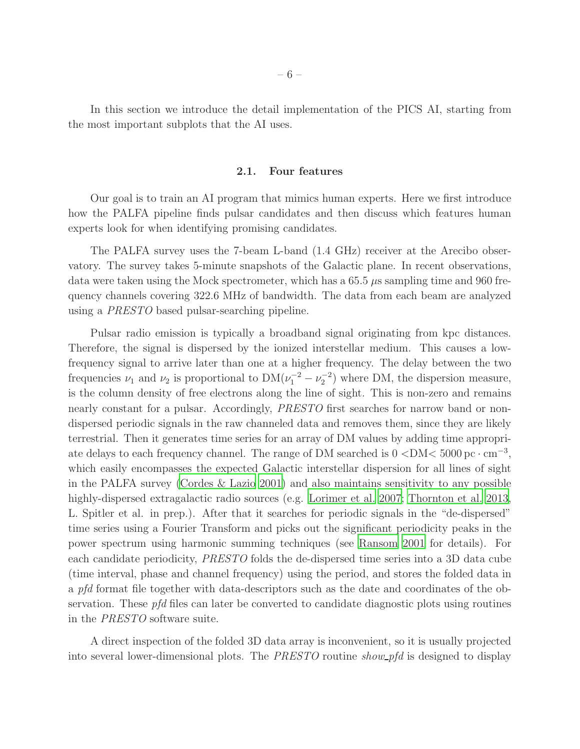<span id="page-5-0"></span>In this section we introduce the detail implementation of the PICS AI, starting from the most important subplots that the AI uses.

#### 2.1. Four features

Our goal is to train an AI program that mimics human experts. Here we first introduce how the PALFA pipeline finds pulsar candidates and then discuss which features human experts look for when identifying promising candidates.

The PALFA survey uses the 7-beam L-band (1.4 GHz) receiver at the Arecibo observatory. The survey takes 5-minute snapshots of the Galactic plane. In recent observations, data were taken using the Mock spectrometer, which has a  $65.5 \mu s$  sampling time and 960 frequency channels covering 322.6 MHz of bandwidth. The data from each beam are analyzed using a *PRESTO* based pulsar-searching pipeline.

Pulsar radio emission is typically a broadband signal originating from kpc distances. Therefore, the signal is dispersed by the ionized interstellar medium. This causes a lowfrequency signal to arrive later than one at a higher frequency. The delay between the two frequencies  $\nu_1$  and  $\nu_2$  is proportional to  $DM(\nu_1^{-2} - \nu_2^{-2})$  where DM, the dispersion measure, is the column density of free electrons along the line of sight. This is non-zero and remains nearly constant for a pulsar. Accordingly, *PRESTO* first searches for narrow band or nondispersed periodic signals in the raw channeled data and removes them, since they are likely terrestrial. Then it generates time series for an array of DM values by adding time appropriate delays to each frequency channel. The range of DM searched is  $0 <$ DM $<$  5000 pc $\cdot$  cm<sup>-3</sup>, which easily encompasses the expected Galactic interstellar dispersion for all lines of sight in the PALFA survey [\(Cordes & Lazio 2001\)](#page-17-6) and also maintains sensitivity to any possible highly-dispersed extragalactic radio sources (e.g. [Lorimer et al. 2007;](#page-18-8) [Thornton et al. 2013,](#page-18-9) L. Spitler et al. in prep.). After that it searches for periodic signals in the "de-dispersed" time series using a Fourier Transform and picks out the significant periodicity peaks in the power spectrum using harmonic summing techniques (see [Ransom 2001](#page-18-2) for details). For each candidate periodicity, *PRESTO* folds the de-dispersed time series into a 3D data cube (time interval, phase and channel frequency) using the period, and stores the folded data in a *pfd* format file together with data-descriptors such as the date and coordinates of the observation. These *pfd* files can later be converted to candidate diagnostic plots using routines in the *PRESTO* software suite.

A direct inspection of the folded 3D data array is inconvenient, so it is usually projected into several lower-dimensional plots. The *PRESTO* routine *show pfd* is designed to display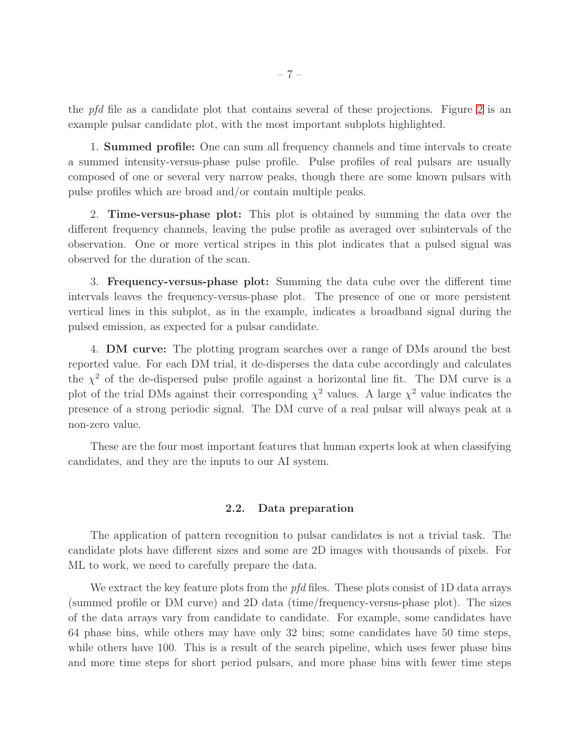the *pfd* file as a candidate plot that contains several of these projections. Figure [2](#page-20-0) is an example pulsar candidate plot, with the most important subplots highlighted.

1. Summed profile: One can sum all frequency channels and time intervals to create a summed intensity-versus-phase pulse profile. Pulse profiles of real pulsars are usually composed of one or several very narrow peaks, though there are some known pulsars with pulse profiles which are broad and/or contain multiple peaks.

2. Time-versus-phase plot: This plot is obtained by summing the data over the different frequency channels, leaving the pulse profile as averaged over subintervals of the observation. One or more vertical stripes in this plot indicates that a pulsed signal was observed for the duration of the scan.

3. Frequency-versus-phase plot: Summing the data cube over the different time intervals leaves the frequency-versus-phase plot. The presence of one or more persistent vertical lines in this subplot, as in the example, indicates a broadband signal during the pulsed emission, as expected for a pulsar candidate.

4. DM curve: The plotting program searches over a range of DMs around the best reported value. For each DM trial, it de-disperses the data cube accordingly and calculates the  $\chi^2$  of the de-dispersed pulse profile against a horizontal line fit. The DM curve is a plot of the trial DMs against their corresponding  $\chi^2$  values. A large  $\chi^2$  value indicates the presence of a strong periodic signal. The DM curve of a real pulsar will always peak at a non-zero value.

These are the four most important features that human experts look at when classifying candidates, and they are the inputs to our AI system.

#### 2.2. Data preparation

The application of pattern recognition to pulsar candidates is not a trivial task. The candidate plots have different sizes and some are 2D images with thousands of pixels. For ML to work, we need to carefully prepare the data.

We extract the key feature plots from the *pfd* files. These plots consist of 1D data arrays (summed profile or DM curve) and 2D data (time/frequency-versus-phase plot). The sizes of the data arrays vary from candidate to candidate. For example, some candidates have 64 phase bins, while others may have only 32 bins; some candidates have 50 time steps, while others have 100. This is a result of the search pipeline, which uses fewer phase bins and more time steps for short period pulsars, and more phase bins with fewer time steps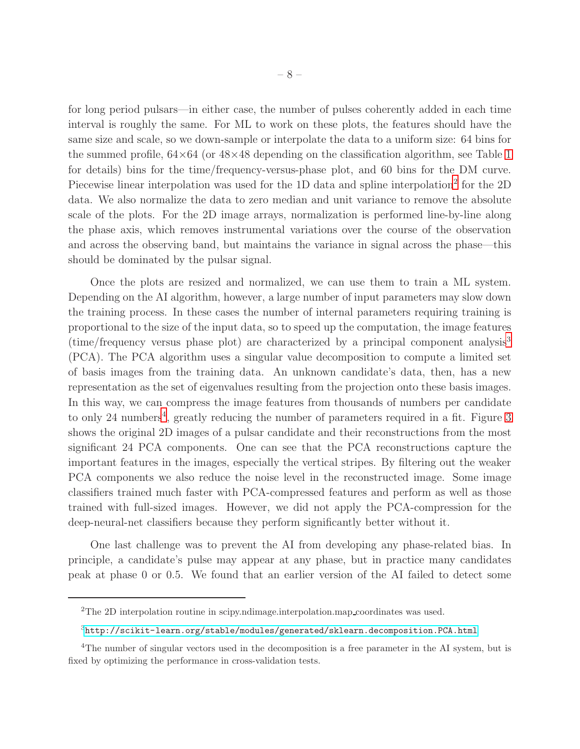for long period pulsars—in either case, the number of pulses coherently added in each time interval is roughly the same. For ML to work on these plots, the features should have the same size and scale, so we down-sample or interpolate the data to a uniform size: 64 bins for the summed profile,  $64\times64$  (or  $48\times48$  depending on the classification algorithm, see Table [1](#page-25-0) for details) bins for the time/frequency-versus-phase plot, and 60 bins for the DM curve. Piecewise linear interpolation was used for the 1D data and spline interpolation<sup>[2](#page-7-0)</sup> for the 2D data. We also normalize the data to zero median and unit variance to remove the absolute scale of the plots. For the 2D image arrays, normalization is performed line-by-line along the phase axis, which removes instrumental variations over the course of the observation and across the observing band, but maintains the variance in signal across the phase—this should be dominated by the pulsar signal.

Once the plots are resized and normalized, we can use them to train a ML system. Depending on the AI algorithm, however, a large number of input parameters may slow down the training process. In these cases the number of internal parameters requiring training is proportional to the size of the input data, so to speed up the computation, the image features (time/frequency versus phase plot) are characterized by a principal component analysis[3](#page-7-1) (PCA). The PCA algorithm uses a singular value decomposition to compute a limited set of basis images from the training data. An unknown candidate's data, then, has a new representation as the set of eigenvalues resulting from the projection onto these basis images. In this way, we can compress the image features from thousands of numbers per candidate to only 2[4](#page-7-2) numbers<sup>4</sup>, greatly reducing the number of parameters required in a fit. Figure [3](#page-21-0) shows the original 2D images of a pulsar candidate and their reconstructions from the most significant 24 PCA components. One can see that the PCA reconstructions capture the important features in the images, especially the vertical stripes. By filtering out the weaker PCA components we also reduce the noise level in the reconstructed image. Some image classifiers trained much faster with PCA-compressed features and perform as well as those trained with full-sized images. However, we did not apply the PCA-compression for the deep-neural-net classifiers because they perform significantly better without it.

One last challenge was to prevent the AI from developing any phase-related bias. In principle, a candidate's pulse may appear at any phase, but in practice many candidates peak at phase 0 or 0.5. We found that an earlier version of the AI failed to detect some

<sup>&</sup>lt;sup>2</sup>The 2D interpolation routine in scipy.ndimage.interpolation.map\_coordinates was used.

<span id="page-7-1"></span><span id="page-7-0"></span> $3$ <http://scikit-learn.org/stable/modules/generated/sklearn.decomposition.PCA.html>

<span id="page-7-2"></span><sup>4</sup>The number of singular vectors used in the decomposition is a free parameter in the AI system, but is fixed by optimizing the performance in cross-validation tests.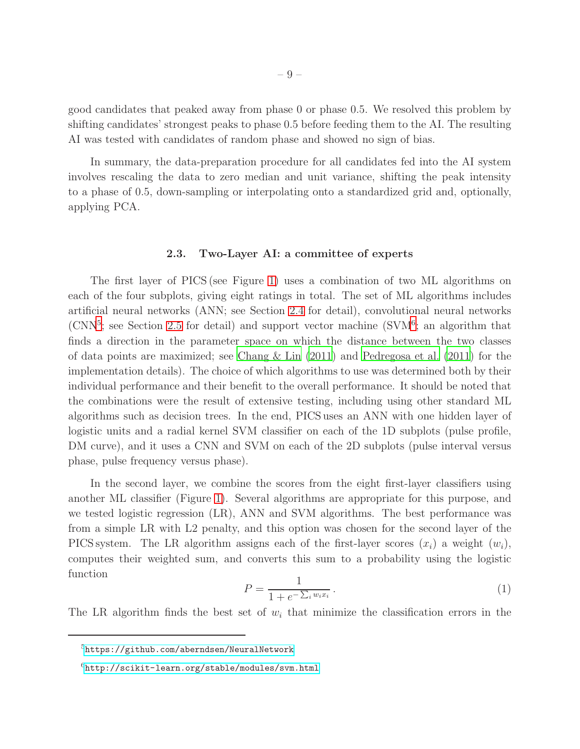good candidates that peaked away from phase 0 or phase 0.5. We resolved this problem by shifting candidates' strongest peaks to phase 0.5 before feeding them to the AI. The resulting AI was tested with candidates of random phase and showed no sign of bias.

In summary, the data-preparation procedure for all candidates fed into the AI system involves rescaling the data to zero median and unit variance, shifting the peak intensity to a phase of 0.5, down-sampling or interpolating onto a standardized grid and, optionally, applying PCA.

#### 2.3. Two-Layer AI: a committee of experts

<span id="page-8-2"></span>The first layer of PICS (see Figure [1\)](#page-19-0) uses a combination of two ML algorithms on each of the four subplots, giving eight ratings in total. The set of ML algorithms includes artificial neural networks (ANN; see Section [2.4](#page-9-0) for detail), convolutional neural networks (CNN<sup>[5](#page-8-0)</sup>; see Section [2.5](#page-10-0) for detail) and support vector machine (SVM<sup>[6](#page-8-1)</sup>; an algorithm that finds a direction in the parameter space on which the distance between the two classes of data points are maximized; see [Chang & Lin \(2011\)](#page-17-7) and [Pedregosa](#page-18-10) et al. [\(2011](#page-18-10)) for the implementation details). The choice of which algorithms to use was determined both by their individual performance and their benefit to the overall performance. It should be noted that the combinations were the result of extensive testing, including using other standard ML algorithms such as decision trees. In the end, PICS uses an ANN with one hidden layer of logistic units and a radial kernel SVM classifier on each of the 1D subplots (pulse profile, DM curve), and it uses a CNN and SVM on each of the 2D subplots (pulse interval versus phase, pulse frequency versus phase).

In the second layer, we combine the scores from the eight first-layer classifiers using another ML classifier (Figure [1\)](#page-19-0). Several algorithms are appropriate for this purpose, and we tested logistic regression (LR), ANN and SVM algorithms. The best performance was from a simple LR with L2 penalty, and this option was chosen for the second layer of the PICS system. The LR algorithm assigns each of the first-layer scores  $(x_i)$  a weight  $(w_i)$ , computes their weighted sum, and converts this sum to a probability using the logistic function

$$
P = \frac{1}{1 + e^{-\sum_{i} w_i x_i}}.
$$
\n(1)

The LR algorithm finds the best set of  $w_i$  that minimize the classification errors in the

<sup>5</sup><https://github.com/aberndsen/NeuralNetwork>

<span id="page-8-1"></span><span id="page-8-0"></span><sup>6</sup><http://scikit-learn.org/stable/modules/svm.html>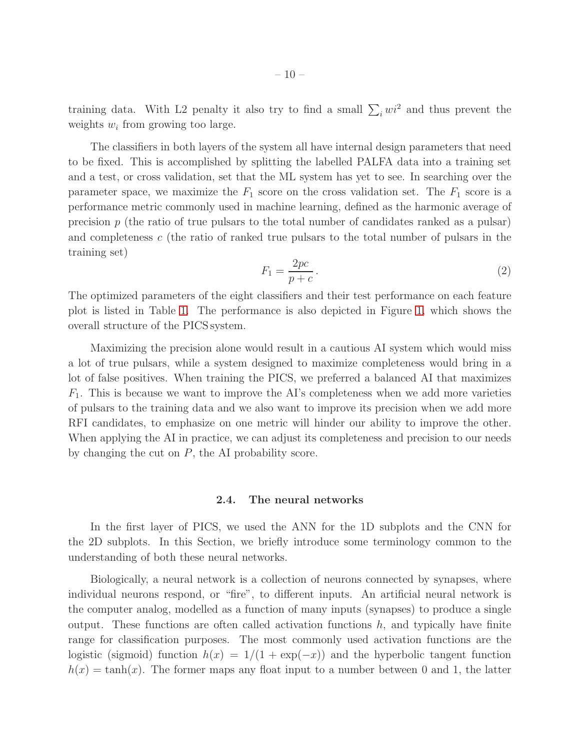training data. With L2 penalty it also try to find a small  $\sum_i wi^2$  and thus prevent the weights  $w_i$  from growing too large.

The classifiers in both layers of the system all have internal design parameters that need to be fixed. This is accomplished by splitting the labelled PALFA data into a training set and a test, or cross validation, set that the ML system has yet to see. In searching over the parameter space, we maximize the  $F_1$  score on the cross validation set. The  $F_1$  score is a performance metric commonly used in machine learning, defined as the harmonic average of precision  $p$  (the ratio of true pulsars to the total number of candidates ranked as a pulsar) and completeness c (the ratio of ranked true pulsars to the total number of pulsars in the training set)

$$
F_1 = \frac{2pc}{p+c} \,. \tag{2}
$$

The optimized parameters of the eight classifiers and their test performance on each feature plot is listed in Table [1.](#page-25-0) The performance is also depicted in Figure [1,](#page-19-0) which shows the overall structure of the PICS system.

Maximizing the precision alone would result in a cautious AI system which would miss a lot of true pulsars, while a system designed to maximize completeness would bring in a lot of false positives. When training the PICS, we preferred a balanced AI that maximizes  $F_1$ . This is because we want to improve the AI's completeness when we add more varieties of pulsars to the training data and we also want to improve its precision when we add more RFI candidates, to emphasize on one metric will hinder our ability to improve the other. When applying the AI in practice, we can adjust its completeness and precision to our needs by changing the cut on  $P$ , the AI probability score.

#### 2.4. The neural networks

<span id="page-9-0"></span>In the first layer of PICS, we used the ANN for the 1D subplots and the CNN for the 2D subplots. In this Section, we briefly introduce some terminology common to the understanding of both these neural networks.

Biologically, a neural network is a collection of neurons connected by synapses, where individual neurons respond, or "fire", to different inputs. An artificial neural network is the computer analog, modelled as a function of many inputs (synapses) to produce a single output. These functions are often called activation functions  $h$ , and typically have finite range for classification purposes. The most commonly used activation functions are the logistic (sigmoid) function  $h(x) = 1/(1 + \exp(-x))$  and the hyperbolic tangent function  $h(x) = \tanh(x)$ . The former maps any float input to a number between 0 and 1, the latter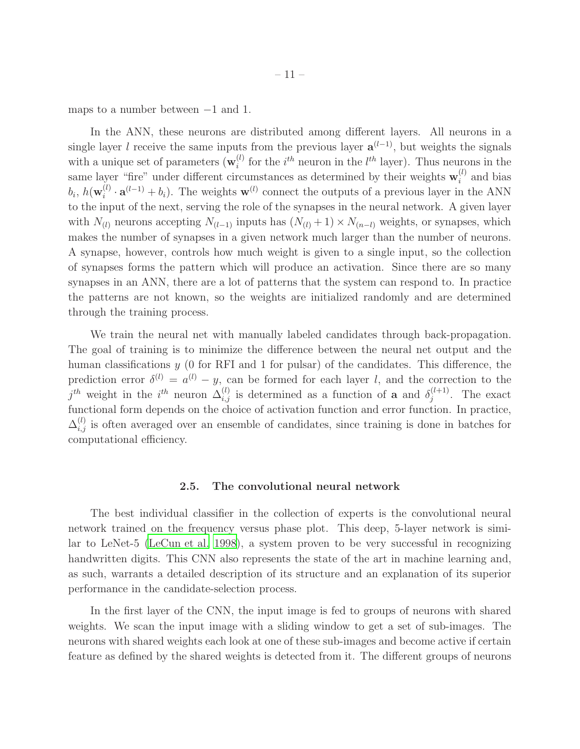maps to a number between −1 and 1.

In the ANN, these neurons are distributed among different layers. All neurons in a single layer l receive the same inputs from the previous layer  $a^{(l-1)}$ , but weights the signals with a unique set of parameters  $(\mathbf{w}_i^{(l)})$  $i^{(l)}$  for the  $i^{th}$  neuron in the  $l^{th}$  layer). Thus neurons in the same layer "fire" under different circumstances as determined by their weights  $\mathbf{w}_i^{(l)}$  $i^{\prime\prime}$  and bias  $b_i,\,h(\mathbf{w}^{(l)}_i$  $\mathbf{a}_i^{(l)} \cdot \mathbf{a}^{(l-1)} + b_i$ ). The weights  $\mathbf{w}^{(l)}$  connect the outputs of a previous layer in the ANN to the input of the next, serving the role of the synapses in the neural network. A given layer with  $N_{(l)}$  neurons accepting  $N_{(l-1)}$  inputs has  $(N_{(l)} + 1) \times N_{(n-l)}$  weights, or synapses, which makes the number of synapses in a given network much larger than the number of neurons. A synapse, however, controls how much weight is given to a single input, so the collection of synapses forms the pattern which will produce an activation. Since there are so many synapses in an ANN, there are a lot of patterns that the system can respond to. In practice the patterns are not known, so the weights are initialized randomly and are determined through the training process.

We train the neural net with manually labeled candidates through back-propagation. The goal of training is to minimize the difference between the neural net output and the human classifications  $y$  (0 for RFI and 1 for pulsar) of the candidates. This difference, the prediction error  $\delta^{(l)} = a^{(l)} - y$ , can be formed for each layer l, and the correction to the  $j^{th}$  weight in the  $i^{th}$  neuron  $\Delta_{i,j}^{(l)}$  is determined as a function of **a** and  $\delta_j^{(l+1)}$  $j^{(l+1)}$ . The exact functional form depends on the choice of activation function and error function. In practice,  $\Delta_{i,j}^{(l)}$  is often averaged over an ensemble of candidates, since training is done in batches for computational efficiency.

#### 2.5. The convolutional neural network

<span id="page-10-0"></span>The best individual classifier in the collection of experts is the convolutional neural network trained on the frequency versus phase plot. This deep, 5-layer network is similar to LeNet-5 [\(LeCun et al. 1998\)](#page-18-11), a system proven to be very successful in recognizing handwritten digits. This CNN also represents the state of the art in machine learning and, as such, warrants a detailed description of its structure and an explanation of its superior performance in the candidate-selection process.

In the first layer of the CNN, the input image is fed to groups of neurons with shared weights. We scan the input image with a sliding window to get a set of sub-images. The neurons with shared weights each look at one of these sub-images and become active if certain feature as defined by the shared weights is detected from it. The different groups of neurons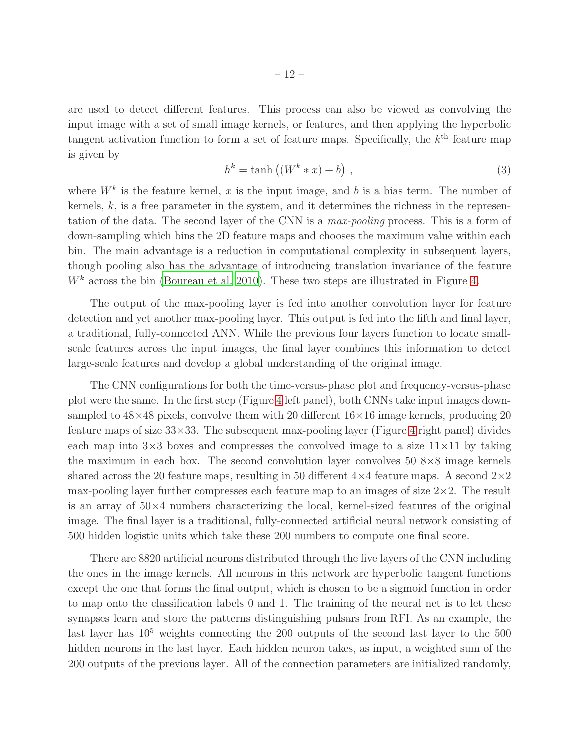are used to detect different features. This process can also be viewed as convolving the input image with a set of small image kernels, or features, and then applying the hyperbolic tangent activation function to form a set of feature maps. Specifically, the  $k^{\text{th}}$  feature map is given by

$$
h^k = \tanh\left(\left(W^k * x\right) + b\right) \,,\tag{3}
$$

where  $W^k$  is the feature kernel, x is the input image, and b is a bias term. The number of kernels,  $k$ , is a free parameter in the system, and it determines the richness in the representation of the data. The second layer of the CNN is a *max-pooling* process. This is a form of down-sampling which bins the 2D feature maps and chooses the maximum value within each bin. The main advantage is a reduction in computational complexity in subsequent layers, though pooling also has the advantage of introducing translation invariance of the feature  $W<sup>k</sup>$  across the bin [\(Boureau et al. 2010](#page-17-8)). These two steps are illustrated in Figure [4.](#page-22-0)

The output of the max-pooling layer is fed into another convolution layer for feature detection and yet another max-pooling layer. This output is fed into the fifth and final layer, a traditional, fully-connected ANN. While the previous four layers function to locate smallscale features across the input images, the final layer combines this information to detect large-scale features and develop a global understanding of the original image.

The CNN configurations for both the time-versus-phase plot and frequency-versus-phase plot were the same. In the first step (Figure [4](#page-22-0) left panel), both CNNs take input images downsampled to  $48\times48$  pixels, convolve them with 20 different  $16\times16$  image kernels, producing 20 feature maps of size  $33\times33$ . The subsequent max-pooling layer (Figure [4](#page-22-0) right panel) divides each map into  $3\times3$  boxes and compresses the convolved image to a size  $11\times11$  by taking the maximum in each box. The second convolution layer convolves  $50\,8\times8$  image kernels shared across the 20 feature maps, resulting in 50 different  $4\times4$  feature maps. A second  $2\times2$ max-pooling layer further compresses each feature map to an images of size  $2\times2$ . The result is an array of  $50\times4$  numbers characterizing the local, kernel-sized features of the original image. The final layer is a traditional, fully-connected artificial neural network consisting of 500 hidden logistic units which take these 200 numbers to compute one final score.

There are 8820 artificial neurons distributed through the five layers of the CNN including the ones in the image kernels. All neurons in this network are hyperbolic tangent functions except the one that forms the final output, which is chosen to be a sigmoid function in order to map onto the classification labels 0 and 1. The training of the neural net is to let these synapses learn and store the patterns distinguishing pulsars from RFI. As an example, the last layer has  $10<sup>5</sup>$  weights connecting the 200 outputs of the second last layer to the 500 hidden neurons in the last layer. Each hidden neuron takes, as input, a weighted sum of the 200 outputs of the previous layer. All of the connection parameters are initialized randomly,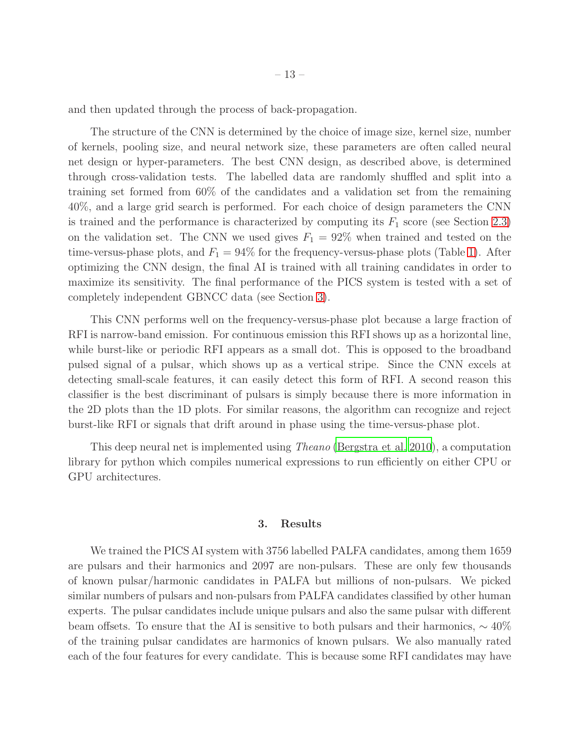and then updated through the process of back-propagation.

The structure of the CNN is determined by the choice of image size, kernel size, number of kernels, pooling size, and neural network size, these parameters are often called neural net design or hyper-parameters. The best CNN design, as described above, is determined through cross-validation tests. The labelled data are randomly shuffled and split into a training set formed from 60% of the candidates and a validation set from the remaining 40%, and a large grid search is performed. For each choice of design parameters the CNN is trained and the performance is characterized by computing its  $F_1$  score (see Section [2.3\)](#page-8-2) on the validation set. The CNN we used gives  $F_1 = 92\%$  when trained and tested on the time-versus-phase plots, and  $F_1 = 94\%$  for the frequency-versus-phase plots (Table [1\)](#page-25-0). After optimizing the CNN design, the final AI is trained with all training candidates in order to maximize its sensitivity. The final performance of the PICS system is tested with a set of completely independent GBNCC data (see Section [3\)](#page-12-0).

This CNN performs well on the frequency-versus-phase plot because a large fraction of RFI is narrow-band emission. For continuous emission this RFI shows up as a horizontal line, while burst-like or periodic RFI appears as a small dot. This is opposed to the broadband pulsed signal of a pulsar, which shows up as a vertical stripe. Since the CNN excels at detecting small-scale features, it can easily detect this form of RFI. A second reason this classifier is the best discriminant of pulsars is simply because there is more information in the 2D plots than the 1D plots. For similar reasons, the algorithm can recognize and reject burst-like RFI or signals that drift around in phase using the time-versus-phase plot.

<span id="page-12-0"></span>This deep neural net is implemented using *Theano* [\(Bergstra et al. 2010\)](#page-17-9), a computation library for python which compiles numerical expressions to run efficiently on either CPU or GPU architectures.

### 3. Results

We trained the PICS AI system with 3756 labelled PALFA candidates, among them 1659 are pulsars and their harmonics and 2097 are non-pulsars. These are only few thousands of known pulsar/harmonic candidates in PALFA but millions of non-pulsars. We picked similar numbers of pulsars and non-pulsars from PALFA candidates classified by other human experts. The pulsar candidates include unique pulsars and also the same pulsar with different beam offsets. To ensure that the AI is sensitive to both pulsars and their harmonics,  $\sim 40\%$ of the training pulsar candidates are harmonics of known pulsars. We also manually rated each of the four features for every candidate. This is because some RFI candidates may have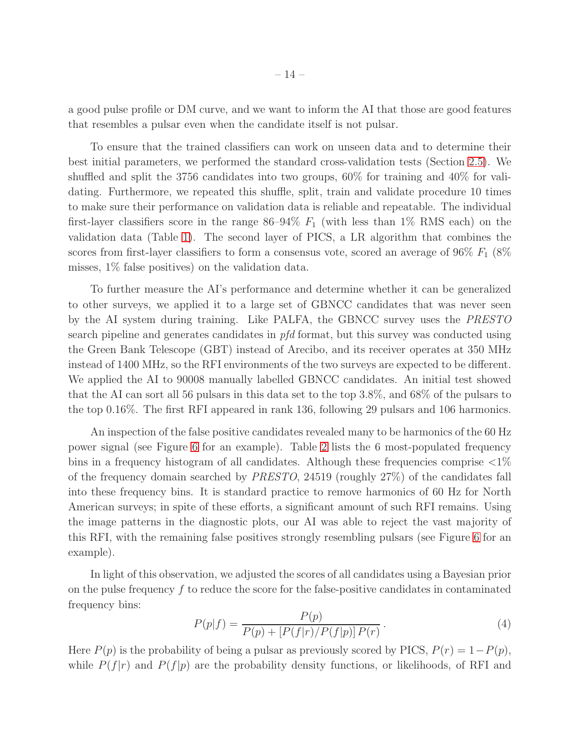a good pulse profile or DM curve, and we want to inform the AI that those are good features that resembles a pulsar even when the candidate itself is not pulsar.

To ensure that the trained classifiers can work on unseen data and to determine their best initial parameters, we performed the standard cross-validation tests (Section [2.5\)](#page-10-0). We shuffled and split the 3756 candidates into two groups, 60% for training and 40% for validating. Furthermore, we repeated this shuffle, split, train and validate procedure 10 times to make sure their performance on validation data is reliable and repeatable. The individual first-layer classifiers score in the range  $86-94\%$   $F_1$  (with less than 1% RMS each) on the validation data (Table [1\)](#page-25-0). The second layer of PICS, a LR algorithm that combines the scores from first-layer classifiers to form a consensus vote, scored an average of  $96\%$   $F_1$  ( $8\%$ misses, 1% false positives) on the validation data.

To further measure the AI's performance and determine whether it can be generalized to other surveys, we applied it to a large set of GBNCC candidates that was never seen by the AI system during training. Like PALFA, the GBNCC survey uses the *PRESTO* search pipeline and generates candidates in *pfd* format, but this survey was conducted using the Green Bank Telescope (GBT) instead of Arecibo, and its receiver operates at 350 MHz instead of 1400 MHz, so the RFI environments of the two surveys are expected to be different. We applied the AI to 90008 manually labelled GBNCC candidates. An initial test showed that the AI can sort all 56 pulsars in this data set to the top 3.8%, and 68% of the pulsars to the top 0.16%. The first RFI appeared in rank 136, following 29 pulsars and 106 harmonics.

An inspection of the false positive candidates revealed many to be harmonics of the 60 Hz power signal (see Figure [6](#page-23-0) for an example). Table [2](#page-26-0) lists the 6 most-populated frequency bins in a frequency histogram of all candidates. Although these frequencies comprise  $\langle 1\%$ of the frequency domain searched by *PRESTO*, 24519 (roughly 27%) of the candidates fall into these frequency bins. It is standard practice to remove harmonics of 60 Hz for North American surveys; in spite of these efforts, a significant amount of such RFI remains. Using the image patterns in the diagnostic plots, our AI was able to reject the vast majority of this RFI, with the remaining false positives strongly resembling pulsars (see Figure [6](#page-23-0) for an example).

In light of this observation, we adjusted the scores of all candidates using a Bayesian prior on the pulse frequency  $f$  to reduce the score for the false-positive candidates in contaminated frequency bins:

<span id="page-13-0"></span>
$$
P(p|f) = \frac{P(p)}{P(p) + [P(f|r)/P(f|p)]P(r)}.
$$
\n(4)

Here  $P(p)$  is the probability of being a pulsar as previously scored by PICS,  $P(r) = 1-P(p)$ , while  $P(f|r)$  and  $P(f|p)$  are the probability density functions, or likelihoods, of RFI and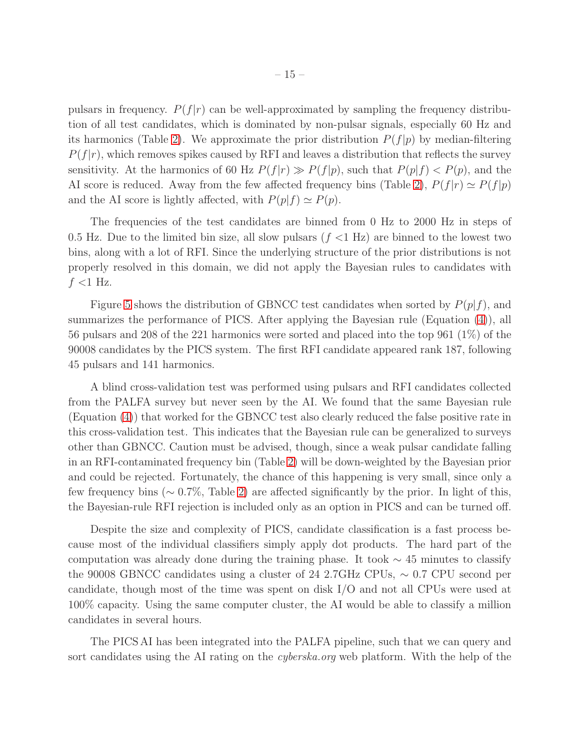pulsars in frequency.  $P(f|r)$  can be well-approximated by sampling the frequency distribution of all test candidates, which is dominated by non-pulsar signals, especially 60 Hz and its harmonics (Table [2\)](#page-26-0). We approximate the prior distribution  $P(f|p)$  by median-filtering  $P(f|r)$ , which removes spikes caused by RFI and leaves a distribution that reflects the survey sensitivity. At the harmonics of 60 Hz  $P(f|r) \gg P(f|p)$ , such that  $P(p|f) < P(p)$ , and the AI score is reduced. Away from the few affected frequency bins (Table [2\)](#page-26-0),  $P(f|r) \simeq P(f|p)$ and the AI score is lightly affected, with  $P(p|f) \simeq P(p)$ .

The frequencies of the test candidates are binned from 0 Hz to 2000 Hz in steps of 0.5 Hz. Due to the limited bin size, all slow pulsars  $(f \leq 1 \text{ Hz})$  are binned to the lowest two bins, along with a lot of RFI. Since the underlying structure of the prior distributions is not properly resolved in this domain, we did not apply the Bayesian rules to candidates with  $f$  <1 Hz.

Figure [5](#page-22-1) shows the distribution of GBNCC test candidates when sorted by  $P(p|f)$ , and summarizes the performance of PICS. After applying the Bayesian rule (Equation [\(4\)](#page-13-0)), all 56 pulsars and 208 of the 221 harmonics were sorted and placed into the top 961 (1%) of the 90008 candidates by the PICS system. The first RFI candidate appeared rank 187, following 45 pulsars and 141 harmonics.

A blind cross-validation test was performed using pulsars and RFI candidates collected from the PALFA survey but never seen by the AI. We found that the same Bayesian rule (Equation [\(4\)](#page-13-0)) that worked for the GBNCC test also clearly reduced the false positive rate in this cross-validation test. This indicates that the Bayesian rule can be generalized to surveys other than GBNCC. Caution must be advised, though, since a weak pulsar candidate falling in an RFI-contaminated frequency bin (Table [2\)](#page-26-0) will be down-weighted by the Bayesian prior and could be rejected. Fortunately, the chance of this happening is very small, since only a few frequency bins (∼ 0.7%, Table [2\)](#page-26-0) are affected significantly by the prior. In light of this, the Bayesian-rule RFI rejection is included only as an option in PICS and can be turned off.

Despite the size and complexity of PICS, candidate classification is a fast process because most of the individual classifiers simply apply dot products. The hard part of the computation was already done during the training phase. It took  $\sim$  45 minutes to classify the 90008 GBNCC candidates using a cluster of 24 2.7GHz CPUs, ∼ 0.7 CPU second per candidate, though most of the time was spent on disk I/O and not all CPUs were used at 100% capacity. Using the same computer cluster, the AI would be able to classify a million candidates in several hours.

The PICS AI has been integrated into the PALFA pipeline, such that we can query and sort candidates using the AI rating on the *cyberska.org* web platform. With the help of the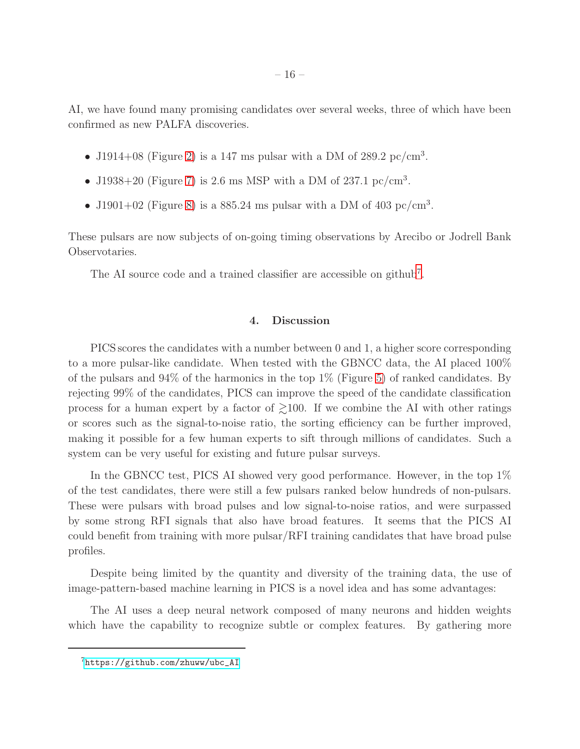AI, we have found many promising candidates over several weeks, three of which have been confirmed as new PALFA discoveries.

- J1914+08 (Figure [2\)](#page-20-0) is a 147 ms pulsar with a DM of 289.2 pc/cm<sup>3</sup>.
- J1938+20 (Figure [7\)](#page-23-1) is 2.6 ms MSP with a DM of 237.1 pc/cm<sup>3</sup>.
- J1901+02 (Figure [8\)](#page-24-0) is a 885.24 ms pulsar with a DM of 403 pc/cm<sup>3</sup>.

These pulsars are now subjects of on-going timing observations by Arecibo or Jodrell Bank Observotaries.

<span id="page-15-0"></span>The AI source code and a trained classifier are accessible on github<sup>[7](#page-18-12)</sup>.

## 4. Discussion

PICS scores the candidates with a number between 0 and 1, a higher score corresponding to a more pulsar-like candidate. When tested with the GBNCC data, the AI placed 100% of the pulsars and  $94\%$  of the harmonics in the top  $1\%$  (Figure [5\)](#page-22-1) of ranked candidates. By rejecting 99% of the candidates, PICS can improve the speed of the candidate classification process for a human expert by a factor of  $\geq 100$ . If we combine the AI with other ratings or scores such as the signal-to-noise ratio, the sorting efficiency can be further improved, making it possible for a few human experts to sift through millions of candidates. Such a system can be very useful for existing and future pulsar surveys.

In the GBNCC test, PICS AI showed very good performance. However, in the top 1% of the test candidates, there were still a few pulsars ranked below hundreds of non-pulsars. These were pulsars with broad pulses and low signal-to-noise ratios, and were surpassed by some strong RFI signals that also have broad features. It seems that the PICS AI could benefit from training with more pulsar/RFI training candidates that have broad pulse profiles.

Despite being limited by the quantity and diversity of the training data, the use of image-pattern-based machine learning in PICS is a novel idea and has some advantages:

The AI uses a deep neural network composed of many neurons and hidden weights which have the capability to recognize subtle or complex features. By gathering more

<sup>7</sup>[https://github.com/zhuww/ubc\\_AI](https://github.com/zhuww/ubc_AI)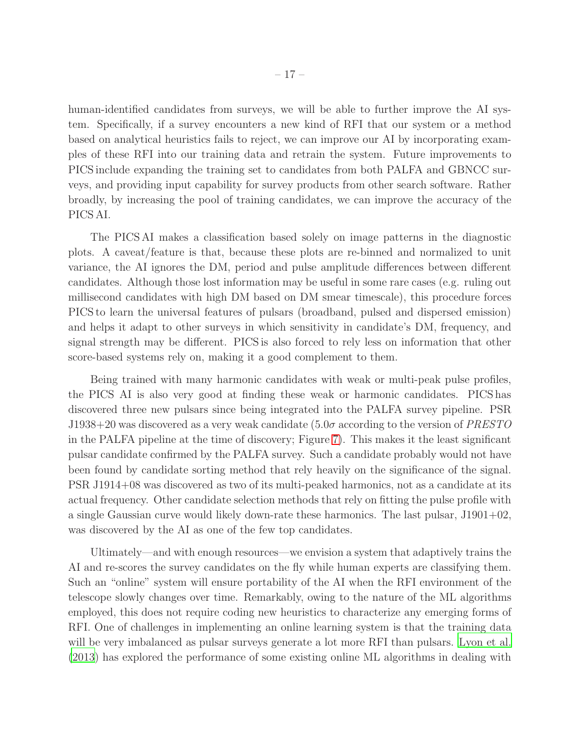human-identified candidates from surveys, we will be able to further improve the AI system. Specifically, if a survey encounters a new kind of RFI that our system or a method based on analytical heuristics fails to reject, we can improve our AI by incorporating examples of these RFI into our training data and retrain the system. Future improvements to PICS include expanding the training set to candidates from both PALFA and GBNCC surveys, and providing input capability for survey products from other search software. Rather broadly, by increasing the pool of training candidates, we can improve the accuracy of the PICS AI.

The PICS AI makes a classification based solely on image patterns in the diagnostic plots. A caveat/feature is that, because these plots are re-binned and normalized to unit variance, the AI ignores the DM, period and pulse amplitude differences between different candidates. Although those lost information may be useful in some rare cases (e.g. ruling out millisecond candidates with high DM based on DM smear timescale), this procedure forces PICS to learn the universal features of pulsars (broadband, pulsed and dispersed emission) and helps it adapt to other surveys in which sensitivity in candidate's DM, frequency, and signal strength may be different. PICS is also forced to rely less on information that other score-based systems rely on, making it a good complement to them.

Being trained with many harmonic candidates with weak or multi-peak pulse profiles, the PICS AI is also very good at finding these weak or harmonic candidates. PICS has discovered three new pulsars since being integrated into the PALFA survey pipeline. PSR J1938+20 was discovered as a very weak candidate (5.0σ according to the version of *PRESTO* in the PALFA pipeline at the time of discovery; Figure [7\)](#page-23-1). This makes it the least significant pulsar candidate confirmed by the PALFA survey. Such a candidate probably would not have been found by candidate sorting method that rely heavily on the significance of the signal. PSR J1914+08 was discovered as two of its multi-peaked harmonics, not as a candidate at its actual frequency. Other candidate selection methods that rely on fitting the pulse profile with a single Gaussian curve would likely down-rate these harmonics. The last pulsar, J1901+02, was discovered by the AI as one of the few top candidates.

Ultimately—and with enough resources—we envision a system that adaptively trains the AI and re-scores the survey candidates on the fly while human experts are classifying them. Such an "online" system will ensure portability of the AI when the RFI environment of the telescope slowly changes over time. Remarkably, owing to the nature of the ML algorithms employed, this does not require coding new heuristics to characterize any emerging forms of RFI. One of challenges in implementing an online learning system is that the training data will be very imbalanced as pulsar surveys generate a lot more RFI than pulsars. [Lyon et al.](#page-18-13) [\(2013\)](#page-18-13) has explored the performance of some existing online ML algorithms in dealing with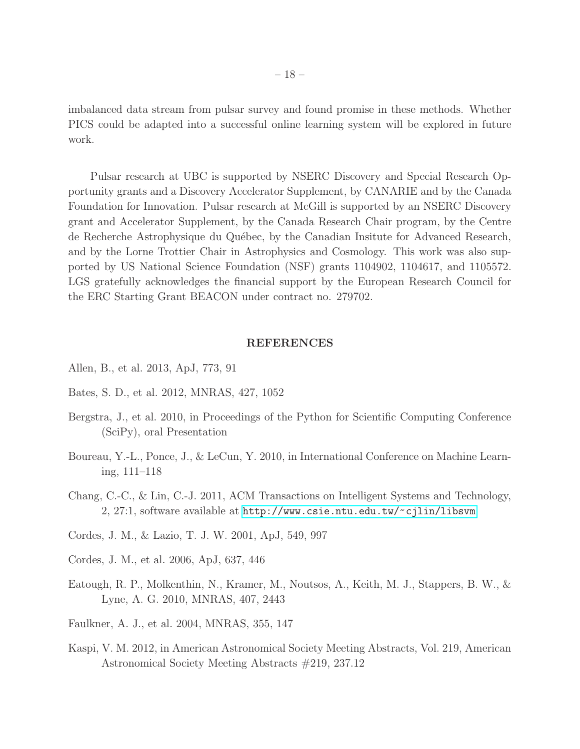imbalanced data stream from pulsar survey and found promise in these methods. Whether PICS could be adapted into a successful online learning system will be explored in future work.

Pulsar research at UBC is supported by NSERC Discovery and Special Research Opportunity grants and a Discovery Accelerator Supplement, by CANARIE and by the Canada Foundation for Innovation. Pulsar research at McGill is supported by an NSERC Discovery grant and Accelerator Supplement, by the Canada Research Chair program, by the Centre de Recherche Astrophysique du Québec, by the Canadian Insitute for Advanced Research, and by the Lorne Trottier Chair in Astrophysics and Cosmology. This work was also supported by US National Science Foundation (NSF) grants 1104902, 1104617, and 1105572. LGS gratefully acknowledges the financial support by the European Research Council for the ERC Starting Grant BEACON under contract no. 279702.

# REFERENCES

- <span id="page-17-2"></span>Allen, B., et al. 2013, ApJ, 773, 91
- <span id="page-17-5"></span>Bates, S. D., et al. 2012, MNRAS, 427, 1052
- <span id="page-17-9"></span>Bergstra, J., et al. 2010, in Proceedings of the Python for Scientific Computing Conference (SciPy), oral Presentation
- <span id="page-17-8"></span>Boureau, Y.-L., Ponce, J., & LeCun, Y. 2010, in International Conference on Machine Learning, 111–118
- <span id="page-17-7"></span>Chang, C.-C., & Lin, C.-J. 2011, ACM Transactions on Intelligent Systems and Technology, 2, 27:1, software available at <http://www.csie.ntu.edu.tw/~cjlin/libsvm>
- <span id="page-17-6"></span>Cordes, J. M., & Lazio, T. J. W. 2001, ApJ, 549, 997
- <span id="page-17-0"></span>Cordes, J. M., et al. 2006, ApJ, 637, 446
- <span id="page-17-4"></span>Eatough, R. P., Molkenthin, N., Kramer, M., Noutsos, A., Keith, M. J., Stappers, B. W., & Lyne, A. G. 2010, MNRAS, 407, 2443
- <span id="page-17-3"></span>Faulkner, A. J., et al. 2004, MNRAS, 355, 147
- <span id="page-17-1"></span>Kaspi, V. M. 2012, in American Astronomical Society Meeting Abstracts, Vol. 219, American Astronomical Society Meeting Abstracts #219, 237.12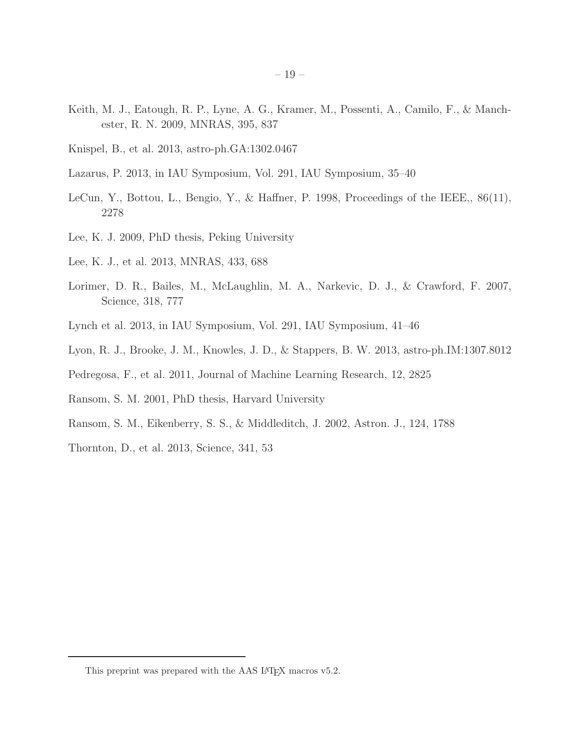- <span id="page-18-5"></span>Keith, M. J., Eatough, R. P., Lyne, A. G., Kramer, M., Possenti, A., Camilo, F., & Manchester, R. N. 2009, MNRAS, 395, 837
- <span id="page-18-4"></span>Knispel, B., et al. 2013, astro-ph.GA:1302.0467
- <span id="page-18-0"></span>Lazarus, P. 2013, in IAU Symposium, Vol. 291, IAU Symposium, 35–40
- <span id="page-18-11"></span>LeCun, Y., Bottou, L., Bengio, Y., & Haffner, P. 1998, Proceedings of the IEEE,, 86(11), 2278
- <span id="page-18-6"></span>Lee, K. J. 2009, PhD thesis, Peking University
- <span id="page-18-7"></span>Lee, K. J., et al. 2013, MNRAS, 433, 688
- <span id="page-18-8"></span>Lorimer, D. R., Bailes, M., McLaughlin, M. A., Narkevic, D. J., & Crawford, F. 2007, Science, 318, 777
- <span id="page-18-1"></span>Lynch et al. 2013, in IAU Symposium, Vol. 291, IAU Symposium, 41–46
- <span id="page-18-13"></span>Lyon, R. J., Brooke, J. M., Knowles, J. D., & Stappers, B. W. 2013, astro-ph.IM:1307.8012
- <span id="page-18-10"></span>Pedregosa, F., et al. 2011, Journal of Machine Learning Research, 12, 2825
- <span id="page-18-2"></span>Ransom, S. M. 2001, PhD thesis, Harvard University
- <span id="page-18-3"></span>Ransom, S. M., Eikenberry, S. S., & Middleditch, J. 2002, Astron. J., 124, 1788
- <span id="page-18-9"></span>Thornton, D., et al. 2013, Science, 341, 53

<span id="page-18-12"></span>This preprint was prepared with the AAS IATEX macros v5.2.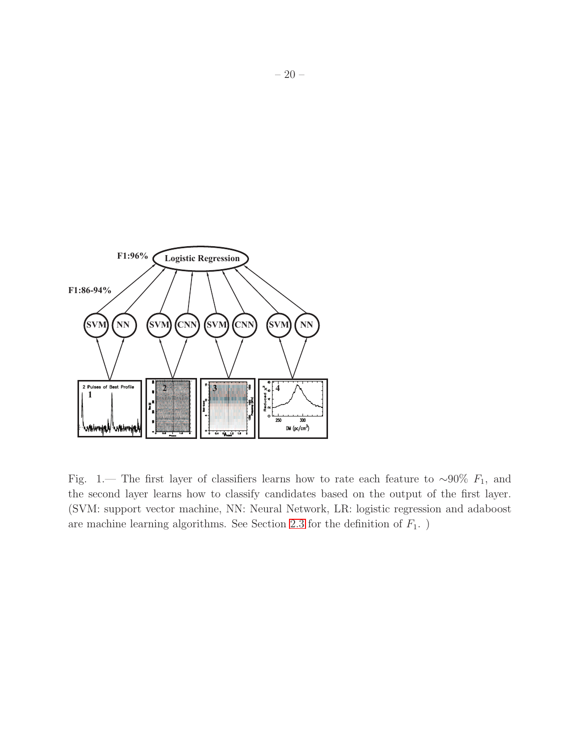

<span id="page-19-0"></span>Fig. 1.— The first layer of classifiers learns how to rate each feature to ~90%  $F_1$ , and the second layer learns how to classify candidates based on the output of the first layer. (SVM: support vector machine, NN: Neural Network, LR: logistic regression and adaboost are machine learning algorithms. See Section [2.3](#page-8-2) for the definition of  $F_1$ .)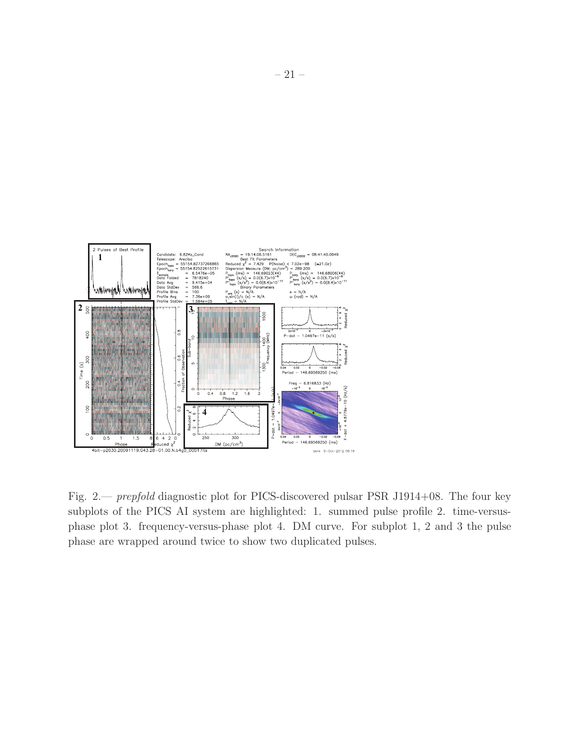

<span id="page-20-0"></span>Fig. 2.— *prepfold* diagnostic plot for PICS-discovered pulsar PSR J1914+08. The four key subplots of the PICS AI system are highlighted: 1. summed pulse profile 2. time-versusphase plot 3. frequency-versus-phase plot 4. DM curve. For subplot 1, 2 and 3 the pulse phase are wrapped around twice to show two duplicated pulses.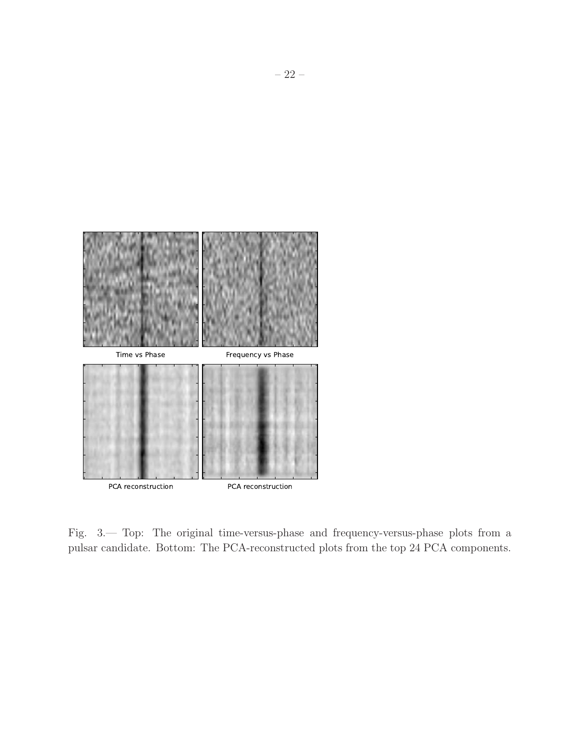<span id="page-21-0"></span>

Fig. 3.— Top: The original time-versus-phase and frequency-versus-phase plots from a pulsar candidate. Bottom: The PCA-reconstructed plots from the top 24 PCA components.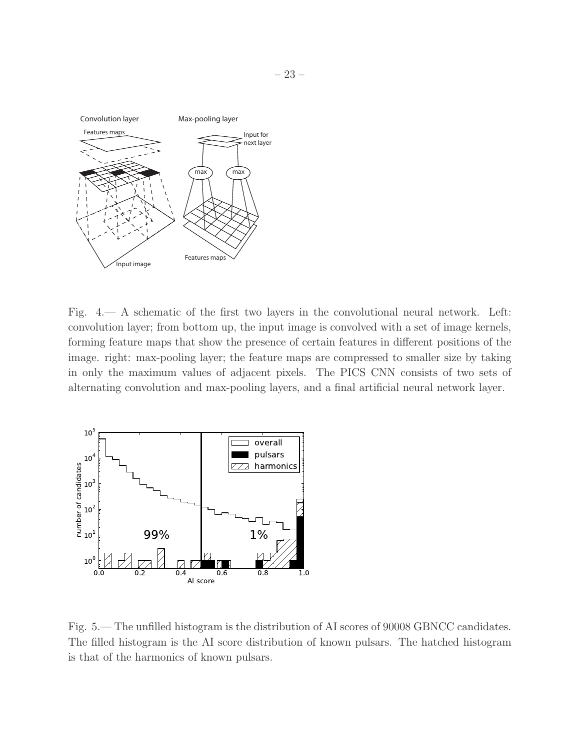

<span id="page-22-0"></span>Fig. 4.— A schematic of the first two layers in the convolutional neural network. Left: convolution layer; from bottom up, the input image is convolved with a set of image kernels, forming feature maps that show the presence of certain features in different positions of the image. right: max-pooling layer; the feature maps are compressed to smaller size by taking in only the maximum values of adjacent pixels. The PICS CNN consists of two sets of alternating convolution and max-pooling layers, and a final artificial neural network layer.



<span id="page-22-1"></span>Fig. 5.— The unfilled histogram is the distribution of AI scores of 90008 GBNCC candidates. The filled histogram is the AI score distribution of known pulsars. The hatched histogram is that of the harmonics of known pulsars.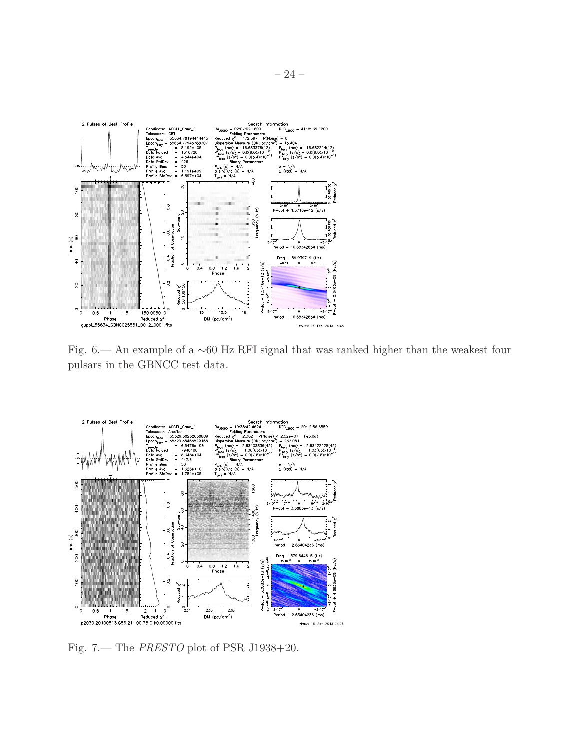

<span id="page-23-0"></span>Fig. 6.— An example of a ∼60 Hz RFI signal that was ranked higher than the weakest four pulsars in the GBNCC test data.



<span id="page-23-1"></span>Fig. 7.— The *PRESTO* plot of PSR J1938+20.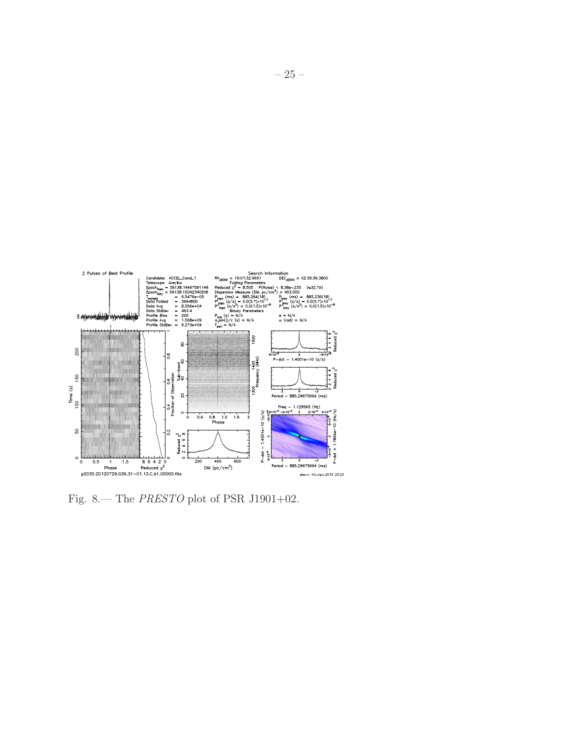

<span id="page-24-0"></span>Fig. 8.— The *PRESTO* plot of PSR J1901+02.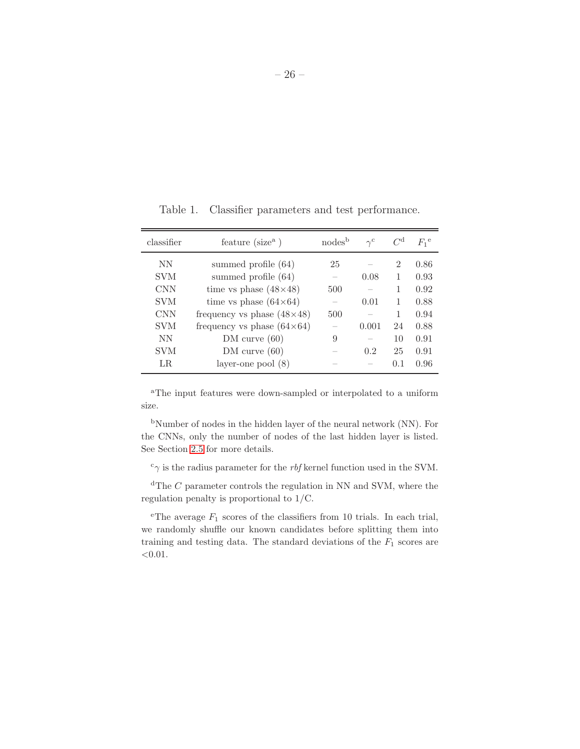| classifier | feature $(\text{size}^a)$         | nodes <sup>b</sup> | $\gamma^{\rm c}$ | $C^{\rm d}$    | $F_1$ <sup>e</sup> |
|------------|-----------------------------------|--------------------|------------------|----------------|--------------------|
| NN         | summed profile (64)               | 25                 |                  | $\overline{2}$ | 0.86               |
| <b>SVM</b> | summed profile (64)               |                    | 0.08             | 1              | 0.93               |
| <b>CNN</b> | time vs phase $(48\times48)$      | 500                |                  | 1              | 0.92               |
| <b>SVM</b> | time vs phase $(64\times64)$      |                    | 0.01             | 1              | 0.88               |
| <b>CNN</b> | frequency vs phase $(48\times48)$ | 500                |                  | 1              | 0.94               |
| <b>SVM</b> | frequency vs phase $(64\times64)$ |                    | 0.001            | 24             | 0.88               |
| <b>NN</b>  | DM curve(60)                      | 9                  |                  | 10             | 0.91               |
| <b>SVM</b> | DM curve (60)                     |                    | 0.2              | 25             | 0.91               |
| LR.        | layer-one pool $(8)$              |                    |                  | 0.1            | 0.96               |

<span id="page-25-0"></span>Table 1. Classifier parameters and test performance.

<sup>a</sup>The input features were down-sampled or interpolated to a uniform size.

<sup>b</sup>Number of nodes in the hidden layer of the neural network (NN). For the CNNs, only the number of nodes of the last hidden layer is listed. See Section [2.5](#page-10-0) for more details.

 $^{\rm c}\gamma$  is the radius parameter for the  $rbf$  kernel function used in the SVM.

 $d$ <sup>d</sup>The *C* parameter controls the regulation in NN and SVM, where the regulation penalty is proportional to 1/C.

<sup>e</sup>The average  $F_1$  scores of the classifiers from 10 trials. In each trial, we randomly shuffle our known candidates before splitting them into training and testing data. The standard deviations of the  $F_1$  scores are  $<\!\!0.01.$